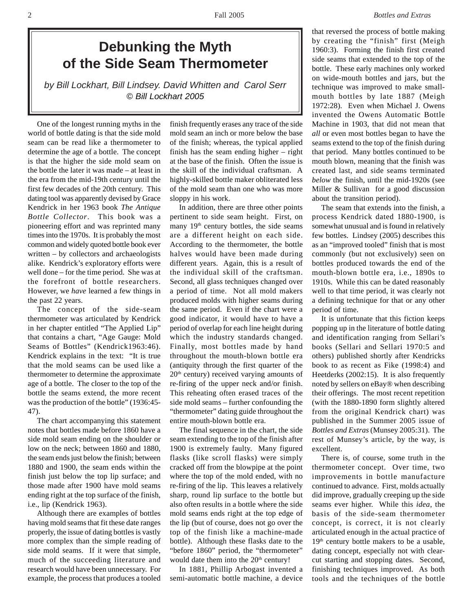# **Debunking the Myth of the Side Seam Thermometer**

*by Bill Lockhart, Bill Lindsey. David Whitten and Carol Serr © Bill Lockhart 2005*

One of the longest running myths in the world of bottle dating is that the side mold seam can be read like a thermometer to determine the age of a bottle. The concept is that the higher the side mold seam on the bottle the later it was made – at least in the era from the mid-19th century until the first few decades of the 20th century. This dating tool was apparently devised by Grace Kendrick in her 1963 book *The Antique Bottle Collector*. This book was a pioneering effort and was reprinted many times into the 1970s. It is probably the most common and widely quoted bottle book ever written – by collectors and archaeologists alike. Kendrick's exploratory efforts were well done – for the time period. She was at the forefront of bottle researchers. However, we *have* learned a few things in the past 22 years.

The concept of the side-seam thermometer was articulated by Kendrick in her chapter entitled "The Applied Lip" that contains a chart, "Age Gauge: Mold Seams of Bottles" (Kendrick1963:46). Kendrick explains in the text: "It is true that the mold seams can be used like a thermometer to determine the approximate age of a bottle. The closer to the top of the bottle the seams extend, the more recent was the production of the bottle" (1936:45- 47).

The chart accompanying this statement notes that bottles made before 1860 have a side mold seam ending on the shoulder or low on the neck; between 1860 and 1880, the seam ends just below the finish; between 1880 and 1900, the seam ends within the finish just below the top lip surface; and those made after 1900 have mold seams ending right at the top surface of the finish, i.e., lip (Kendrick 1963).

Although there are examples of bottles having mold seams that fit these date ranges properly, the issue of dating bottles is vastly more complex than the simple reading of side mold seams. If it were that simple, much of the succeeding literature and research would have been unnecessary. For example, the process that produces a tooled

finish frequently erases any trace of the side mold seam an inch or more below the base of the finish; whereas, the typical applied finish has the seam ending higher – right at the base of the finish. Often the issue is the skill of the individual craftsman. A highly-skilled bottle maker obliterated less of the mold seam than one who was more sloppy in his work.

In addition, there are three other points pertinent to side seam height. First, on many  $19<sup>th</sup>$  century bottles, the side seams are a different height on each side. According to the thermometer, the bottle halves would have been made during different years. Again, this is a result of the individual skill of the craftsman. Second, all glass techniques changed over a period of time. Not all mold makers produced molds with higher seams during the same period. Even if the chart were a good indicator, it would have to have a period of overlap for each line height during which the industry standards changed. Finally, most bottles made by hand throughout the mouth-blown bottle era (antiquity through the first quarter of the  $20<sup>th</sup>$  century) received varying amounts of re-firing of the upper neck and/or finish. This reheating often erased traces of the side mold seams – further confounding the "thermometer" dating guide throughout the entire mouth-blown bottle era.

The final sequence in the chart, the side seam extending to the top of the finish after 1900 is extremely faulty. Many figured flasks (like scroll flasks) were simply cracked off from the blowpipe at the point where the top of the mold ended, with no re-firing of the lip. This leaves a relatively sharp, round lip surface to the bottle but also often results in a bottle where the side mold seams ends right at the top edge of the lip (but of course, does not go over the top of the finish like a machine-made bottle). Although these flasks date to the "before 1860" period, the "thermometer" would date them into the 20<sup>th</sup> century!

In 1881, Phillip Arbogast invented a semi-automatic bottle machine, a device that reversed the process of bottle making by creating the "finish" first (Meigh 1960:3). Forming the finish first created side seams that extended to the top of the bottle. These early machines only worked on wide-mouth bottles and jars, but the technique was improved to make smallmouth bottles by late 1887 (Meigh 1972:28). Even when Michael J. Owens invented the Owens Automatic Bottle Machine in 1903, that did not mean that *all* or even most bottles began to have the seams extend to the top of the finish during that period. Many bottles continued to be mouth blown, meaning that the finish was created last, and side seams terminated *below* the finish, until the mid-1920s (see Miller & Sullivan for a good discussion about the transition period).

The seam that extends into the finish, a process Kendrick dated 1880-1900, is somewhat unusual and is found in relatively few bottles. Lindsey (2005) describes this as an "improved tooled" finish that is most commonly (but not exclusively) seen on bottles produced towards the end of the mouth-blown bottle era, i.e., 1890s to 1910s. While this can be dated reasonably well to that time period, it was clearly not a defining technique for that or any other period of time.

It is unfortunate that this fiction keeps popping up in the literature of bottle dating and identification ranging from Sellari's books (Sellari and Sellari 1970:5 and others) published shortly after Kendricks book to as recent as Fike (1998:4) and Heetderks (2002:15). It is also frequently noted by sellers on eBay® when describing their offerings. The most recent repetition (with the 1880-1890 form slightly altered from the original Kendrick chart) was published in the Summer 2005 issue of *Bottles and Extras* (Munsey 2005:31). The rest of Munsey's article, by the way, is excellent.

There is, of course, some truth in the thermometer concept. Over time, two improvements in bottle manufacture continued to advance. First, molds actually did improve, gradually creeping up the side seams ever higher. While this *idea*, the basis of the side-seam thermometer concept, is correct, it is not clearly articulated enough in the actual practice of  $19<sup>th</sup>$  century bottle makers to be a usable, dating concept, especially not with clearcut starting and stopping dates. Second, finishing techniques improved. As both tools and the techniques of the bottle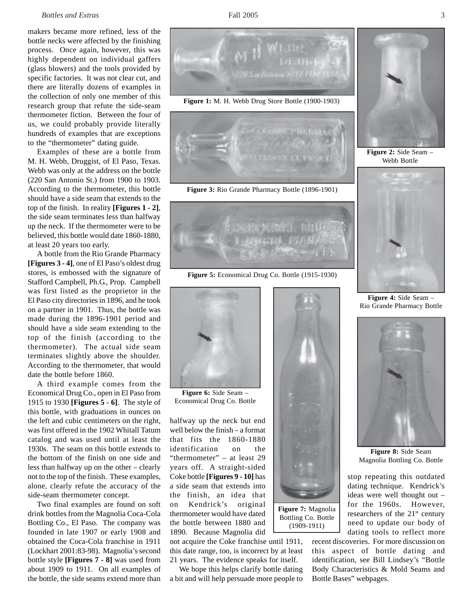#### *Bottles and Extras* 3

makers became more refined, less of the bottle necks were affected by the finishing process. Once again, however, this was highly dependent on individual gaffers (glass blowers) and the tools provided by specific factories. It was not clear cut, and there are literally dozens of examples in the collection of only one member of this research group that refute the side-seam thermometer fiction. Between the four of us, we could probably provide literally hundreds of examples that are exceptions to the "thermometer" dating guide.

Examples of these are a bottle from M. H. Webb, Druggist, of El Paso, Texas. Webb was only at the address on the bottle (220 San Antonio St.) from 1900 to 1903. According to the thermometer, this bottle should have a side seam that extends to the top of the finish. In reality **[Figures 1 - 2]**, the side seam terminates less than halfway up the neck. If the thermometer were to be believed, this bottle would date 1860-1880, at least 20 years too early.

A bottle from the Rio Grande Pharmacy **[Figures 3 - 4]**, one of El Paso's oldest drug stores, is embossed with the signature of Stafford Campbell, Ph.G., Prop. Campbell was first listed as the proprietor in the El Paso city directories in 1896, and he took on a partner in 1901. Thus, the bottle was made during the 1896-1901 period and should have a side seam extending to the top of the finish (according to the thermometer). The actual side seam terminates slightly above the shoulder. According to the thermometer, that would date the bottle before 1860.

A third example comes from the Economical Drug Co., open in El Paso from 1915 to 1930 **[Figures 5 - 6]**. The style of this bottle, with graduations in ounces on the left and cubic centimeters on the right, was first offered in the 1902 Whitall Tatum catalog and was used until at least the 1930s. The seam on this bottle extends to the bottom of the finish on one side and less than halfway up on the other – clearly not to the top of the finish. These examples, alone, clearly refute the accuracy of the side-seam thermometer concept.

Two final examples are found on soft drink bottles from the Magnolia Coca-Cola Bottling Co., El Paso. The company was founded in late 1907 or early 1908 and obtained the Coca-Cola franchise in 1911 (Lockhart 2001:83-98). Magnolia's second bottle style **[Figures 7 - 8]** was used from about 1909 to 1911. On all examples of the bottle, the side seams extend more than



**Figure 1:** M. H. Webb Drug Store Bottle (1900-1903)



**Figure 3:** Rio Grande Pharmacy Bottle (1896-1901)



**Figure 5:** Economical Drug Co. Bottle (1915-1930)



**Figure 6:** Side Seam – Economical Drug Co. Bottle

halfway up the neck but end well below the finish – a format that fits the 1860-1880 identification on the "thermometer" – at least 29 years off. A straight-sided Coke bottle **[Figures 9 - 10]** has a side seam that extends into the finish, an idea that on Kendrick's original thermometer would have dated the bottle between 1880 and 1890. Because Magnolia did

not acquire the Coke franchise until 1911, this date range, too, is incorrect by at least 21 years. The evidence speaks for itself.

We hope this helps clarify bottle dating a bit and will help persuade more people to



**Figure 7:** Magnolia Bottling Co. Bottle (1909-1911)



**Figure 2:** Side Seam – Webb Bottle



**Figure 4:** Side Seam – Rio Grande Pharmacy Bottle



**Figure 8:** Side Seam Magnolia Bottling Co. Bottle

stop repeating this outdated dating technique. Kendrick's ideas were well thought out – for the 1960s. However, researchers of the  $21<sup>st</sup>$  century need to update our body of dating tools to reflect more

recent discoveries. For more discussion on this aspect of bottle dating and identification, see Bill Lindsey's "Bottle Body Characteristics & Mold Seams and Bottle Bases" webpages.